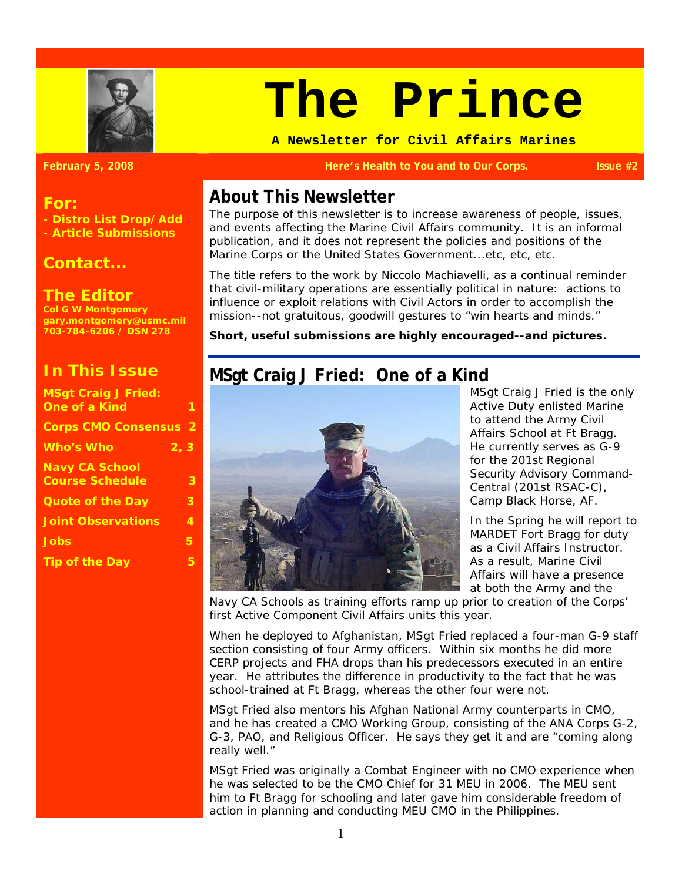

#### **For:**

**- Distro List Drop/Add - Article Submissions** 

#### *Contact...*

### **The Editor**

**Col G W Montgomery gary.montgomery@usmc.mil 703-784-6206 / DSN 278** 

## **In This Issue**

| <b>MSgt Craig J Fried:</b>   |   |
|------------------------------|---|
| <b>One of a Kind</b>         | 1 |
| <b>Corps CMO Consensus 2</b> |   |
| <b>Who's Who</b><br>2, 3     |   |
| <b>Navy CA School</b>        |   |
| <b>Course Schedule</b>       | 3 |
| <b>Quote of the Day</b>      | З |
| <b>Joint Observations</b>    | 4 |
| <b>Jobs</b>                  | 5 |
| <b>Tip of the Day</b>        | 5 |
|                              |   |

# **The Prince**

**A Newsletter for Civil Affairs Marines** 

#### **February 5, 2008 Here's Health to You and to Our Corps. Issue #2**

## **About This Newsletter**

The purpose of this newsletter is to increase awareness of people, issues, and events affecting the Marine Civil Affairs community. It is an informal publication, and it does not represent the policies and positions of the Marine Corps or the United States Government...etc, etc, etc.

The title refers to the work by Niccolo Machiavelli, as a continual reminder that civil-military operations are essentially political in nature: actions to influence or exploit relations with Civil Actors in order to accomplish the mission--not gratuitous, goodwill gestures to "win hearts and minds."

**Short, useful submissions are highly encouraged--and pictures.** 

## **MSgt Craig J Fried: One of a Kind**



MSgt Craig J Fried is the only Active Duty enlisted Marine to attend the Army Civil Affairs School at Ft Bragg. He currently serves as G-9 for the 201st Regional Security Advisory Command-Central (201st RSAC-C), Camp Black Horse, AF.

In the Spring he will report to MARDET Fort Bragg for duty as a Civil Affairs Instructor. As a result, Marine Civil Affairs will have a presence at both the Army and the

Navy CA Schools as training efforts ramp up prior to creation of the Corps' first Active Component Civil Affairs units this year.

When he deployed to Afghanistan, MSgt Fried replaced a four-man G-9 staff section consisting of four Army officers. Within six months he did more CERP projects and FHA drops than his predecessors executed in an entire year. He attributes the difference in productivity to the fact that he was school-trained at Ft Bragg, whereas the other four were not.

MSgt Fried also mentors his Afghan National Army counterparts in CMO, and he has created a CMO Working Group, consisting of the ANA Corps G-2, G-3, PAO, and Religious Officer. He says they get it and are "coming along really well."

MSgt Fried was originally a Combat Engineer with no CMO experience when he was selected to be the CMO Chief for 31 MEU in 2006. The MEU sent him to Ft Bragg for schooling and later gave him considerable freedom of action in planning and conducting MEU CMO in the Philippines.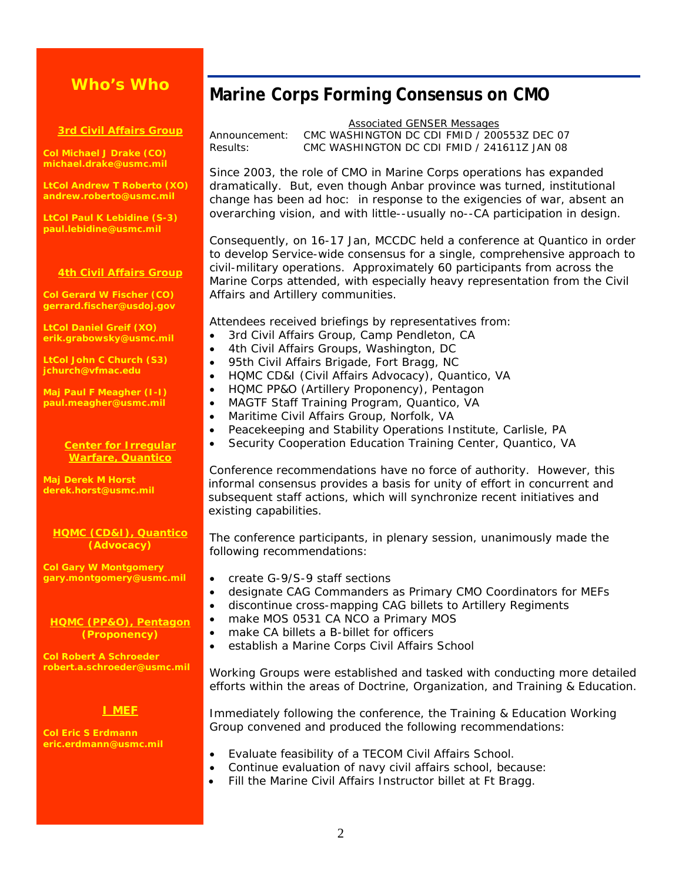## **Who's Who**

#### **3rd Civil Affairs Group**

**Col Michael J Drake (CO) michael.drake@usmc.mil** 

**LtCol Andrew T Roberto (XO) andrew.roberto@usmc.mil** 

**LtCol Paul K Lebidine (S-3) paul.lebidine@usmc.mil** 

#### **4th Civil Affairs Group**

**Col Gerard W Fischer (CO) gerrard.fischer@usdoj.gov** 

**LtCol Daniel Greif (XO) erik.grabowsky@usmc.mil** 

**LtCol John C Church (S3) jchurch@vfmac.edu** 

**Maj Paul F Meagher (I-I) paul.meagher@usmc.mil** 

#### **Center for Irregular Warfare, Quantico**

**Maj Derek M Horst derek.horst@usmc.mil** 

#### **HQMC (CD&I), Quantico (Advocacy)**

**Col Gary W Montgomery gary.montgomery@usmc.mil** 

#### **HQMC (PP&O), Pentagon (Proponency)**

**Col Robert A Schroeder robert.a.schroeder@usmc.mil** 

#### **I MEF**

**Col Eric S Erdmann eric.erdmann@usmc.mil** 

## **Marine Corps Forming Consensus on CMO**

Associated GENSER Messages Announcement: CMC WASHINGTON DC CDI FMID / 200553Z DEC 07 Results: CMC WASHINGTON DC CDI FMID / 241611Z JAN 08

Since 2003, the role of CMO in Marine Corps operations has expanded dramatically. But, even though Anbar province was turned, *institutional* change has been ad hoc: in response to the exigencies of war, absent an overarching vision, and with little--usually no--CA participation in design.

Consequently, on 16-17 Jan, MCCDC held a conference at Quantico in order to develop Service-wide consensus for a single, comprehensive approach to civil-military operations. Approximately 60 participants from across the Marine Corps attended, with especially heavy representation from the Civil Affairs and Artillery communities.

Attendees received briefings by representatives from:

- 3rd Civil Affairs Group, Camp Pendleton, CA
- 4th Civil Affairs Groups, Washington, DC
- 95th Civil Affairs Brigade, Fort Bragg, NC
- HQMC CD&I (Civil Affairs Advocacy), Quantico, VA
- HQMC PP&O (Artillery Proponency), Pentagon
- MAGTF Staff Training Program, Quantico, VA
- Maritime Civil Affairs Group, Norfolk, VA
- Peacekeeping and Stability Operations Institute, Carlisle, PA
- Security Cooperation Education Training Center, Quantico, VA

Conference recommendations have no force of authority. However, this informal consensus provides a basis for unity of effort in concurrent and subsequent staff actions, which will synchronize recent initiatives and existing capabilities.

The conference participants, in plenary session, unanimously made the following recommendations:

- create G-9/S-9 staff sections
- designate CAG Commanders as Primary CMO Coordinators for MEFs
- discontinue cross-mapping CAG billets to Artillery Regiments
- make MOS 0531 CA NCO a Primary MOS
- make CA billets a B-billet for officers
- establish a Marine Corps Civil Affairs School

Working Groups were established and tasked with conducting more detailed efforts within the areas of Doctrine, Organization, and Training & Education.

Immediately following the conference, the Training & Education Working Group convened and produced the following recommendations:

- Evaluate feasibility of a TECOM Civil Affairs School.
- Continue evaluation of navy civil affairs school, because:
- Fill the Marine Civil Affairs Instructor billet at Ft Bragg.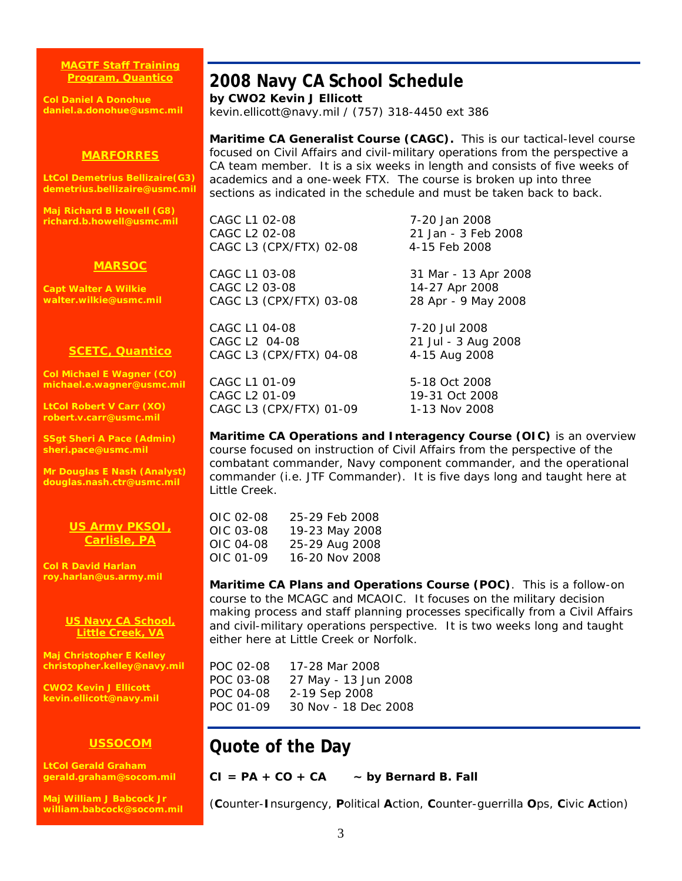#### **MAGTF Staff Training Program, Quantico**

**Col Daniel A Donohue daniel.a.donohue@usmc.mil** 

## **2008 Navy CA School Schedule**

**by CWO2 Kevin J Ellicott**  kevin.ellicott@navy.mil / (757) 318-4450 ext 386

#### **MARFORRES**

**LtCol Demetrius Bellizaire(G3) demetrius.bellizaire@usmc.mil** 

**Maj Richard B Howell (G8) richard.b.howell@usmc.mil** 

#### **MARSOC**

**Capt Walter A Wilkie walter.wilkie@usmc.mil** 

#### **SCETC, Quantico**

**Col Michael E Wagner (CO) michael.e.wagner@usmc.mil** 

**LtCol Robert V Carr (XO) robert.v.carr@usmc.mil** 

**SSgt Sheri A Pace (Admin) sheri.pace@usmc.mil** 

**Mr Douglas E Nash (Analyst) douglas.nash.ctr@usmc.mil** 

#### **US Army PKSOI, Carlisle, PA**

**Col R David Harlan roy.harlan@us.army.mil** 

#### **US Navy CA School, Little Creek, VA**

**Maj Christopher E Kelley christopher.kelley@navy.mil** 

**CWO2 Kevin J Ellicott kevin.ellicott@navy.mil** 

#### **USSOCOM**

**LtCol Gerald Graham gerald.graham@socom.mil** 

**Maj William J Babcock Jr william.babcock@socom.mil** 

## **Maritime CA Generalist Course (CAGC).** This is our tactical-level course focused on Civil Affairs and civil-military operations from the perspective a CA team member. It is a six weeks in length and consists of five weeks of academics and a one-week FTX. The course is broken up into three

sections as indicated in the schedule and must be taken back to back.

CAGC L1 02-08 7-20 Jan 2008 CAGC L2 02-08 21 Jan - 3 Feb 2008 CAGC L3 (CPX/FTX) 02-08 4-15 Feb 2008

CAGC L1 03-08 31 Mar - 13 Apr 2008 CAGC L2 03-08 14-27 Apr 2008 CAGC L3 (CPX/FTX) 03-08 28 Apr - 9 May 2008

CAGC L1 04-08 7-20 Jul 2008 CAGC L2 04-08 21 Jul - 3 Aug 2008 CAGC L3 (CPX/FTX) 04-08 4-15 Aug 2008

CAGC L1 01-09 5-18 Oct 2008 CAGC L2 01-09 19-31 Oct 2008 CAGC L3 (CPX/FTX) 01-09 1-13 Nov 2008

**Maritime CA Operations and Interagency Course (OIC)** is an overview course focused on instruction of Civil Affairs from the perspective of the combatant commander, Navy component commander, and the operational commander (i.e. JTF Commander). It is five days long and taught here at Little Creek.

| OIC 02-08 | 25-29 Feb 2008 |
|-----------|----------------|
| OIC 03-08 | 19-23 May 2008 |
| OIC 04-08 | 25-29 Aug 2008 |
| OIC 01-09 | 16-20 Nov 2008 |

**Maritime CA Plans and Operations Course (POC)**. This is a follow-on course to the MCAGC and MCAOIC. It focuses on the military decision making process and staff planning processes specifically from a Civil Affairs and civil-military operations perspective. It is two weeks long and taught either here at Little Creek or Norfolk.

POC 02-08 17-28 Mar 2008 POC 03-08 27 May - 13 Jun 2008 POC 04-08 2-19 Sep 2008 POC 01-09 30 Nov - 18 Dec 2008

## **Quote of the Day**

#### **CI = PA + CO + CA ~ by Bernard B. Fall**

(**C**ounter-**I**nsurgency, **P**olitical **A**ction, **C**ounter-guerrilla **O**ps, **C**ivic **A**ction)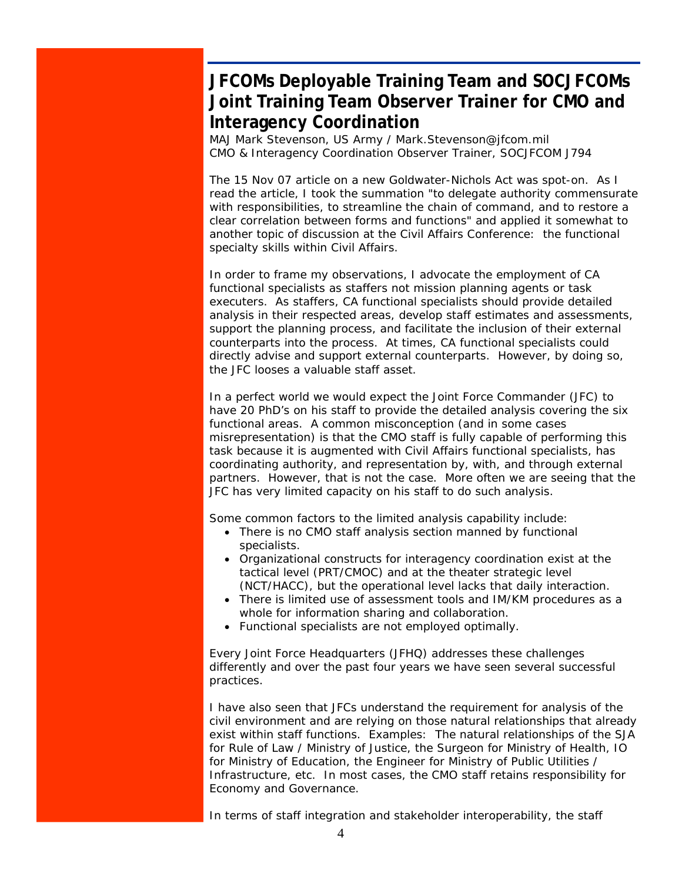## **JFCOMs Deployable Training Team and SOCJFCOMs Joint Training Team Observer Trainer for CMO and Interagency Coordination**

MAJ Mark Stevenson, US Army / Mark.Stevenson@jfcom.mil CMO & Interagency Coordination Observer Trainer, SOCJFCOM J794

The 15 Nov 07 article on a new Goldwater-Nichols Act was spot-on. As I read the article, I took the summation "to delegate authority commensurate with responsibilities, to streamline the chain of command, and to restore a clear correlation between forms and functions" and applied it somewhat to another topic of discussion at the Civil Affairs Conference: the functional specialty skills within Civil Affairs.

In order to frame my observations, I advocate the employment of CA functional specialists as staffers not mission planning agents or task executers. As staffers, CA functional specialists should provide detailed analysis in their respected areas, develop staff estimates and assessments, support the planning process, and facilitate the inclusion of their external counterparts into the process. At times, CA functional specialists could directly advise and support external counterparts. However, by doing so, the JFC looses a valuable staff asset.

In a perfect world we would expect the Joint Force Commander (JFC) to have 20 PhD's on his staff to provide the detailed analysis covering the six functional areas. A common misconception (and in some cases misrepresentation) is that the CMO staff is fully capable of performing this task because it is augmented with Civil Affairs functional specialists, has coordinating authority, and representation by, with, and through external partners. However, that is not the case. More often we are seeing that the JFC has very limited capacity on his staff to do such analysis.

Some common factors to the limited analysis capability include:

- There is no CMO staff analysis section manned by functional specialists.
- Organizational constructs for interagency coordination exist at the tactical level (PRT/CMOC) and at the theater strategic level (NCT/HACC), but the operational level lacks that daily interaction.
- There is limited use of assessment tools and IM/KM procedures as a whole for information sharing and collaboration.
- Functional specialists are not employed optimally.

Every Joint Force Headquarters (JFHQ) addresses these challenges differently and over the past four years we have seen several successful practices.

I have also seen that JFCs understand the requirement for analysis of the civil environment and are relying on those natural relationships that already exist within staff functions. Examples: The natural relationships of the SJA for Rule of Law / Ministry of Justice, the Surgeon for Ministry of Health, IO for Ministry of Education, the Engineer for Ministry of Public Utilities / Infrastructure, etc. In most cases, the CMO staff retains responsibility for Economy and Governance.

In terms of staff integration and stakeholder interoperability, the staff